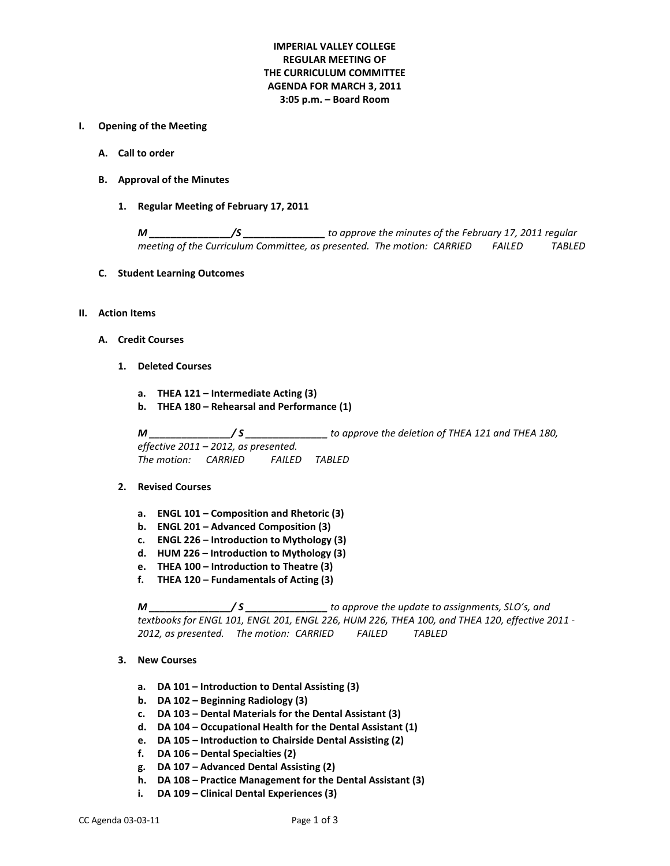# **IMPERIAL VALLEY COLLEGE REGULAR MEETING OF THE CURRICULUM COMMITTEE AGENDA FOR MARCH 3, 2011 3:05 p.m. – Board Room**

#### **I. Opening of the Meeting**

- **A. Call to order**
- **B. Approval of the Minutes**
	- **1. Regular Meeting of February 17, 2011**

*M \_\_\_\_\_\_\_\_\_\_\_\_\_\_\_/S \_\_\_\_\_\_\_\_\_\_\_\_\_\_\_ to approve the minutes of the February 17, 2011 regular meeting of the Curriculum Committee, as presented. The motion: CARRIED FAILED TABLED*

**C. Student Learning Outcomes** 

#### **II. Action Items**

- **A. Credit Courses**
	- **1. Deleted Courses**
		- **a. THEA 121 – Intermediate Acting (3)**
		- **b. THEA 180 – Rehearsal and Performance (1)**

*M \_\_\_\_\_\_\_\_\_\_\_\_\_\_\_/ S \_\_\_\_\_\_\_\_\_\_\_\_\_\_\_ to approve the deletion of THEA 121 and THEA 180, effective 2011 – 2012, as presented. The motion: CARRIED FAILED TABLED*

#### **2. Revised Courses**

- **a. ENGL 101 – Composition and Rhetoric (3)**
- **b. ENGL 201 – Advanced Composition (3)**
- **c. ENGL 226 – Introduction to Mythology (3)**
- **d. HUM 226 – Introduction to Mythology (3)**
- **e. THEA 100 – Introduction to Theatre (3)**
- **f. THEA 120 – Fundamentals of Acting (3)**

*M \_\_\_\_\_\_\_\_\_\_\_\_\_\_\_/ S \_\_\_\_\_\_\_\_\_\_\_\_\_\_\_ to approve the update to assignments, SLO's, and textbooks for ENGL 101, ENGL 201, ENGL 226, HUM 226, THEA 100, and THEA 120, effective 2011 - 2012, as presented. The motion: CARRIED FAILED TABLED*

- **3. New Courses**
	- **a. DA 101 – Introduction to Dental Assisting (3)**
	- **b. DA 102 – Beginning Radiology (3)**
	- **c. DA 103 – Dental Materials for the Dental Assistant (3)**
	- **d. DA 104 – Occupational Health for the Dental Assistant (1)**
	- **e. DA 105 – Introduction to Chairside Dental Assisting (2)**
	- **f. DA 106 – Dental Specialties (2)**
	- **g. DA 107 – Advanced Dental Assisting (2)**
	- **h. DA 108 – Practice Management for the Dental Assistant (3)**
	- **i. DA 109 – Clinical Dental Experiences (3)**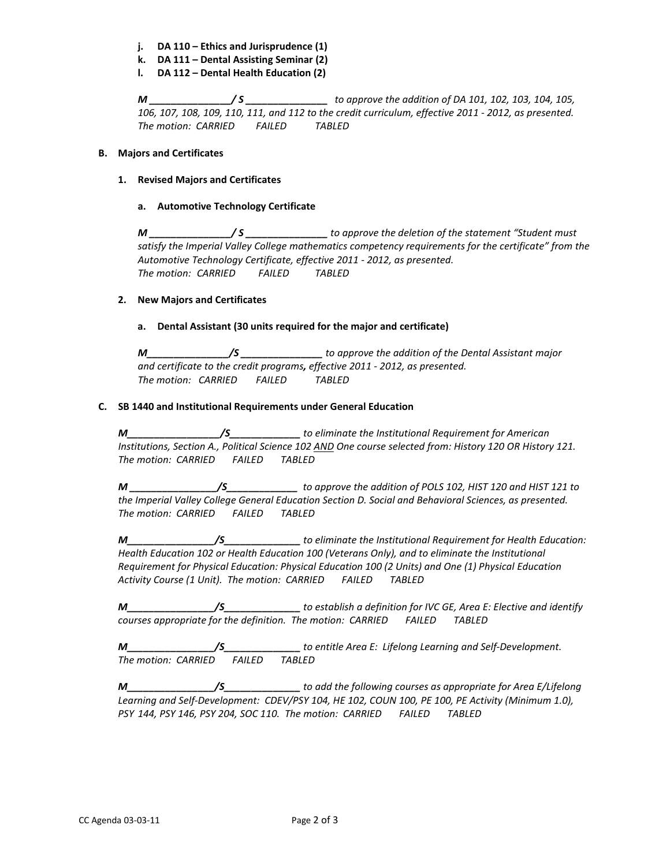- **j. DA 110 – Ethics and Jurisprudence (1)**
- **k. DA 111 – Dental Assisting Seminar (2)**
- **l. DA 112 – Dental Health Education (2)**

*M \_\_\_\_\_\_\_\_\_\_\_\_\_\_\_/ S \_\_\_\_\_\_\_\_\_\_\_\_\_\_\_ to approve the addition of DA 101, 102, 103, 104, 105, 106, 107, 108, 109, 110, 111, and 112 to the credit curriculum, effective 2011 - 2012, as presented. The motion: CARRIED FAILED TABLED*

#### **B. Majors and Certificates**

## **1. Revised Majors and Certificates**

## **a. Automotive Technology Certificate**

*M \_\_\_\_\_\_\_\_\_\_\_\_\_\_\_/ S \_\_\_\_\_\_\_\_\_\_\_\_\_\_\_ to approve the deletion of the statement "Student must satisfy the Imperial Valley College mathematics competency requirements for the certificate" from the The motion: CARRIED FAILED TABLED Automotive Technology Certificate, effective 2011 - 2012, as presented.* 

## **2. New Majors and Certificates**

## **a. Dental Assistant (30 units required for the major and certificate)**

*M\_\_\_\_\_\_\_\_\_\_\_\_\_\_\_/S \_\_\_\_\_\_\_\_\_\_\_\_\_\_\_ to approve the addition of the Dental Assistant major and certificate to the credit programs, effective 2011 - 2012, as presented. The motion: CARRIED FAILED TABLED*

## **C. SB 1440 and Institutional Requirements under General Education**

*M\_\_\_\_\_\_\_\_\_\_\_\_\_\_\_\_\_/S\_\_\_\_\_\_\_\_\_\_\_\_\_ to eliminate the Institutional Requirement for American Institutions, Section A., Political Science 102 AND One course selected from: History 120 OR History 121. The motion: CARRIED FAILED TABLED*

*M \_\_\_\_\_\_\_\_\_\_\_\_\_\_\_\_/S\_\_\_\_\_\_\_\_\_\_\_\_\_ to approve the addition of POLS 102, HIST 120 and HIST 121 to the Imperial Valley College General Education Section D. Social and Behavioral Sciences, as presented. The motion: CARRIED FAILED TABLED*

*M\_\_\_\_\_\_\_\_\_\_\_\_\_\_\_\_/S\_\_\_\_\_\_\_\_\_\_\_\_\_\_ to eliminate the Institutional Requirement for Health Education: Health Education 102 or Health Education 100 (Veterans Only), and to eliminate the Institutional Requirement for Physical Education: Physical Education 100 (2 Units) and One (1) Physical Education Activity Course (1 Unit). The motion: CARRIED FAILED TABLED*

*M\_\_\_\_\_\_\_\_\_\_\_\_\_\_\_\_/S\_\_\_\_\_\_\_\_\_\_\_\_\_\_ to establish a definition for IVC GE, Area E: Elective and identify courses appropriate for the definition. The motion: CARRIED FAILED TABLED*

*M\_\_\_\_\_\_\_\_\_\_\_\_\_\_\_\_/S\_\_\_\_\_\_\_\_\_\_\_\_\_\_ to entitle Area E: Lifelong Learning and Self-Development. The motion: CARRIED FAILED TABLED*

*M\_\_\_\_\_\_\_\_\_\_\_\_\_\_\_\_/S\_\_\_\_\_\_\_\_\_\_\_\_\_\_ to add the following courses as appropriate for Area E/Lifelong Learning and Self-Development: CDEV/PSY 104, HE 102, COUN 100, PE 100, PE Activity (Minimum 1.0), PSY 144, PSY 146, PSY 204, SOC 110. The motion: CARRIED FAILED TABLED*